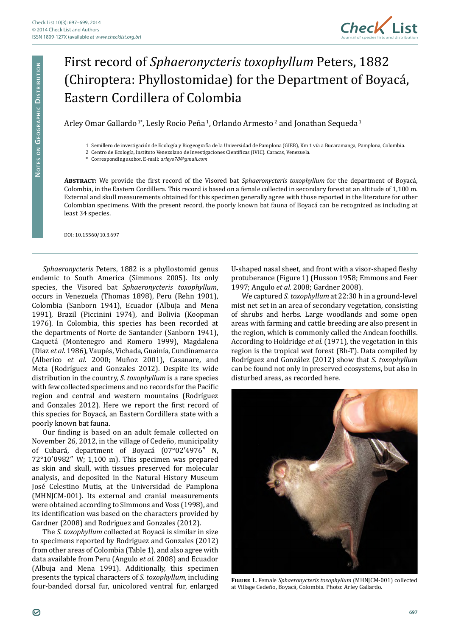

## First record of *Sphaeronycteris toxophyllum* Peters, 1882 (Chiroptera: Phyllostomidae) for the Department of Boyacá, Eastern Cordillera of Colombia

Arley Omar Gallardo<sup>1</sup><sup>\*</sup>, Lesly Rocio Peña<sup>1</sup>, Orlando Armesto<sup>2</sup> and Jonathan Sequeda<sup>1</sup>

1 Semillero de investigación de Ecología y Biogeografía de la Universidad de Pamplona (GIEB), Km 1 vía a Bucaramanga, Pamplona, Colombia.

2 Centro de Ecología, Instituto Venezolano de Investigaciones Científicas (IVIC). Caracas, Venezuela.

\* Corresponding author. E-mail: *[arleyo78@gmail.com](mailto:arleyo78@gmail.com)*

**Abstract:** We provide the first record of the Visored bat *Sphaeronycteris toxophyllum* for the department of Boyacá, Colombia, in the Eastern Cordillera. This record is based on a female collected in secondary forest at an altitude of 1,100 m. External and skull measurements obtained for this specimen generally agree with those reported in the literature for other Colombian specimens. With the present record, the poorly known bat fauna of Boyacá can be recognized as including at least 34 species.

DOI: [10.15560/10.3.697](http://dx.doi.org/10.15560/10.3.697)

*Sphaeronycteris* Peters, 1882 is a phyllostomid genus endemic to South America (Simmons 2005). Its only species, the Visored bat *Sphaeronycteris toxophyllum*, occurs in Venezuela (Thomas 1898), Peru (Rehn 1901), Colombia (Sanborn 1941), Ecuador (Albuja and Mena 1991), Brazil (Piccinini 1974), and Bolivia (Koopman 1976). In Colombia, this species has been recorded at the departments of Norte de Santander (Sanborn 1941), Caquetá (Montenegro and Romero 1999), Magdalena (Diaz *et al.* 1986), Vaupés, Vichada, Guainía, Cundinamarca (Alberico *et al.* 2000; Muñoz 2001), Casanare, and Meta (Rodríguez and Gonzales 2012). Despite its wide distribution in the country, *S. toxophyllum* is a rare species with few collected specimens and no records for the Pacific region and central and western mountains (Rodríguez and Gonzales 2012). Here we report the first record of this species for Boyacá, an Eastern Cordillera state with a poorly known bat fauna.

Our finding is based on an adult female collected on November 26, 2012, in the village of Cedeño, municipality of Cubará, department of Boyacá (07°02′4976″ N, 72°10′0982″ W; 1,100 m). This specimen was prepared as skin and skull, with tissues preserved for molecular analysis, and deposited in the Natural History Museum José Celestino Mutis, at the Universidad de Pamplona (MHNJCM-001). Its external and cranial measurements were obtained according to Simmons and Voss (1998), and its identification was based on the characters provided by Gardner (2008) and Rodriguez and Gonzales (2012).

The *S. toxophyllum* collected at Boyacá is similar in size to specimens reported by Rodriguez and Gonzales (2012) from other areas of Colombia (Table 1), and also agree with data available from Peru (Angulo *et al.* 2008) and Ecuador (Albuja and Mena 1991). Additionally, this specimen presents the typical characters of *S. toxophyllum*, including four-banded dorsal fur, unicolored ventral fur, enlarged

U-shaped nasal sheet, and front with a visor-shaped fleshy protuberance (Figure 1) (Husson 1958; Emmons and Feer 1997; Angulo *et al.* 2008; Gardner 2008).

We captured *S. toxophyllum* at 22:30 h in a ground-level mist net set in an area of secondary vegetation, consisting of shrubs and herbs. Large woodlands and some open areas with farming and cattle breeding are also present in the region, which is commonly called the Andean foothills. According to Holdridge *et al.* (1971), the vegetation in this region is the tropical wet forest (Bh-T). Data compiled by Rodríguez and González (2012) show that *S. toxophyllum* can be found not only in preserved ecosystems, but also in disturbed areas, as recorded here.



**Figure 1.** Female *Sphaeronycteris toxophyllum* (MHNJCM-001) collected at Village Cedeño, Boyacá, Colombia. Photo: Arley Gallardo.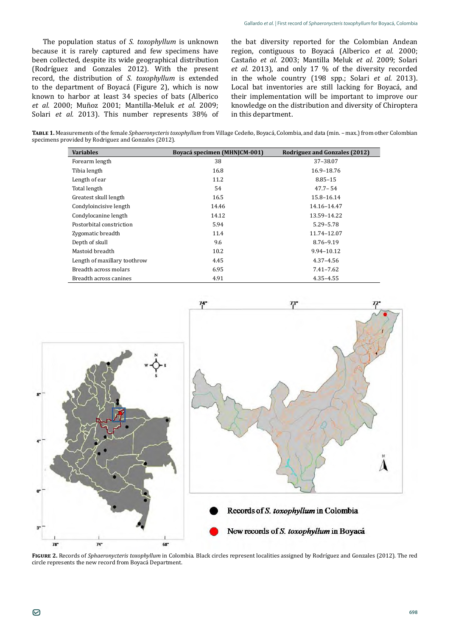The population status of *S. toxophyllum* is unknown because it is rarely captured and few specimens have been collected, despite its wide geographical distribution (Rodríguez and Gonzales 2012). With the present record, the distribution of *S. toxophyllum* is extended to the department of Boyacá (Figure 2), which is now known to harbor at least 34 species of bats (Alberico *et al.* 2000; Muñoz 2001; Mantilla-Meluk *et al.* 2009; Solari *et al.* 2013). This number represents 38% of the bat diversity reported for the Colombian Andean region, contiguous to Boyacá (Alberico *et al.* 2000; Castaño *et al.* 2003; Mantilla Meluk *et al.* 2009; Solari *et al.* 2013), and only 17 % of the diversity recorded in the whole country (198 spp.; Solari *et al*. 2013). Local bat inventories are still lacking for Boyacá, and their implementation will be important to improve our knowledge on the distribution and diversity of Chiroptera in this department.

**Table 1.** Measurements of the female *Sphaeronycteris toxophyllum* from Village Cedeño, Boyacá, Colombia, and data (min. – max.) from other Colombian specimens provided by Rodriguez and Gonzales (2012).

| <b>Variables</b>             | Boyacá specimen (MHNJCM-001) | Rodriguez and Gonzales (2012) |
|------------------------------|------------------------------|-------------------------------|
| Forearm length               | 38                           | 37-38.07                      |
| Tibia length                 | 16.8                         | 16.9-18.76                    |
| Length of ear                | 11.2                         | $8.85 - 15$                   |
| Total length                 | 54                           | $47.7 - 54$                   |
| Greatest skull length        | 16.5                         | 15.8-16.14                    |
| Condyloincisive length       | 14.46                        | 14.16-14.47                   |
| Condylocanine length         | 14.12                        | 13.59-14.22                   |
| Postorbital constriction     | 5.94                         | 5.29–5.78                     |
| Zygomatic breadth            | 11.4                         | 11.74-12.07                   |
| Depth of skull               | 9.6                          | 8.76-9.19                     |
| Mastoid breadth              | 10.2                         | 9.94-10.12                    |
| Length of maxillary toothrow | 4.45                         | $4.37 - 4.56$                 |
| Breadth across molars        | 6.95                         | 7.41-7.62                     |
| Breadth across canines       | 4.91                         | 4.35 - 4.55                   |



**Figure 2.** Records of *Sphaeronycteris toxophyllum* in Colombia. Black circles represent localities assigned by Rodríguez and Gonzales (2012). The red circle represents the new record from Boyacá Department.